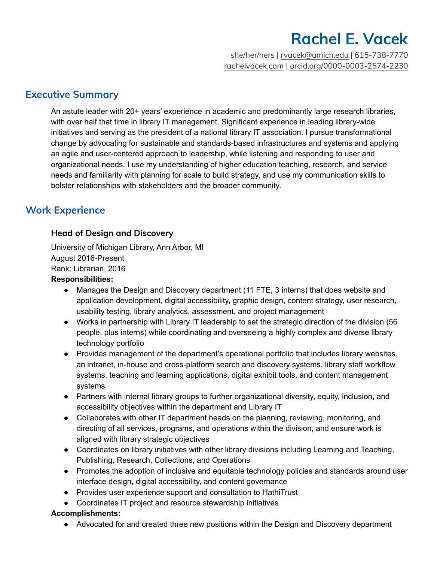she/her/hers | [rvacek@umich.edu](mailto:rvacek@umich.edu) | 615-738-7770 [rachelvacek.com](https://rachelvacek.com/) | [orcid.org/0000-0003-2574-2230](http://orcid.org/0000-0003-2574-2230)

# **Executive Summary**

An astute leader with 20+ years' experience in academic and predominantly large research libraries, with over half that time in library IT management. Significant experience in leading library-wide initiatives and serving as the president of a national library IT association. I pursue transformational change by advocating for sustainable and standards-based infrastructures and systems and applying an agile and user-centered approach to leadership, while listening and responding to user and organizational needs. I use my understanding of higher education teaching, research, and service needs and familiarity with planning for scale to build strategy, and use my communication skills to bolster relationships with stakeholders and the broader community.

# **Work Experience**

# **Head of Design and Discovery**

University of Michigan Library, Ann Arbor, MI August 2016-Present Rank: Librarian, 2016

## **Responsibilities:**

- Manages the Design and Discovery department (11 FTE, 3 interns) that does website and application development, digital accessibility, graphic design, content strategy, user research, usability testing, library analytics, assessment, and project management
- Works in partnership with Library IT leadership to set the strategic direction of the division (56 people, plus interns) while coordinating and overseeing a highly complex and diverse library technology portfolio
- Provides management of the department's operational portfolio that includes library websites, an intranet, in-house and cross-platform search and discovery systems, library staff workflow systems, teaching and learning applications, digital exhibit tools, and content management systems
- Partners with internal library groups to further organizational diversity, equity, inclusion, and accessibility objectives within the department and Library IT
- Collaborates with other IT department heads on the planning, reviewing, monitoring, and directing of all services, programs, and operations within the division, and ensure work is aligned with library strategic objectives
- Coordinates on library initiatives with other library divisions including Learning and Teaching, Publishing, Research, Collections, and Operations
- Promotes the adoption of inclusive and equitable technology policies and standards around user interface design, digital accessibility, and content governance
- Provides user experience support and consultation to HathiTrust
- Coordinates IT project and resource stewardship initiatives

# **Accomplishments:**

● Advocated for and created three new positions within the Design and Discovery department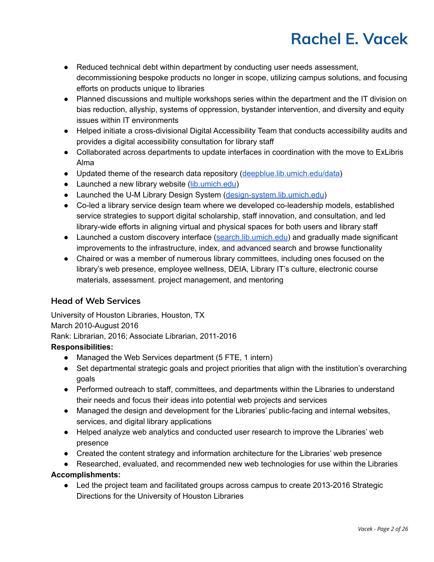- Reduced technical debt within department by conducting user needs assessment, decommissioning bespoke products no longer in scope, utilizing campus solutions, and focusing efforts on products unique to libraries
- Planned discussions and multiple workshops series within the department and the IT division on bias reduction, allyship, systems of oppression, bystander intervention, and diversity and equity issues within IT environments
- Helped initiate a cross-divisional Digital Accessibility Team that conducts accessibility audits and provides a digital accessibility consultation for library staff
- Collaborated across departments to update interfaces in coordination with the move to ExLibris Alma
- Updated theme of the research data repository [\(deepblue.lib.umich.edu/data\)](https://deepblue.lib.umich.edu/data)
- Launched a new library website ([lib.umich.edu](https://lib.umich.edu/))
- Launched the U-M Library Design System ([design-system.lib.umich.edu](https://design-system.lib.umich.edu/))
- Co-led a library service design team where we developed co-leadership models, established service strategies to support digital scholarship, staff innovation, and consultation, and led library-wide efforts in aligning virtual and physical spaces for both users and library staff
- Launched a custom discovery interface [\(search.lib.umich.edu](https://search.lib.umich.edu/everything)) and gradually made significant improvements to the infrastructure, index, and advanced search and browse functionality
- Chaired or was a member of numerous library committees, including ones focused on the library's web presence, employee wellness, DEIA, Library IT's culture, electronic course materials, assessment. project management, and mentoring

# **Head of Web Services**

University of Houston Libraries, Houston, TX March 2010-August 2016 Rank: Librarian, 2016; Associate Librarian, 2011-2016

# **Responsibilities:**

- Managed the Web Services department (5 FTE, 1 intern)
- Set departmental strategic goals and project priorities that align with the institution's overarching goals
- Performed outreach to staff, committees, and departments within the Libraries to understand their needs and focus their ideas into potential web projects and services
- Managed the design and development for the Libraries' public-facing and internal websites, services, and digital library applications
- Helped analyze web analytics and conducted user research to improve the Libraries' web presence
- Created the content strategy and information architecture for the Libraries' web presence
- Researched, evaluated, and recommended new web technologies for use within the Libraries

# **Accomplishments:**

● Led the project team and facilitated groups across campus to create 2013-2016 Strategic Directions for the University of Houston Libraries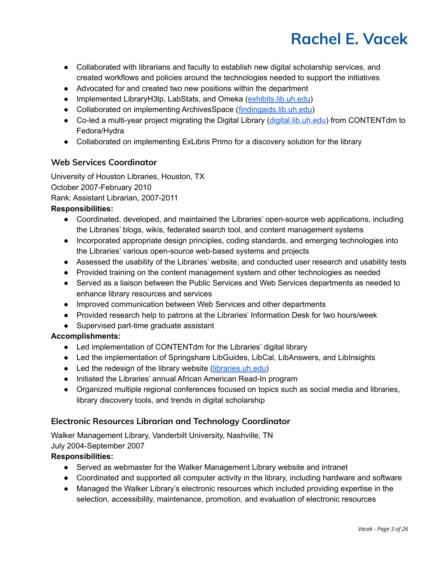- Collaborated with librarians and faculty to establish new digital scholarship services, and created workflows and policies around the technologies needed to support the initiatives
- Advocated for and created two new positions within the department
- Implemented LibraryH3lp, LabStats, and Omeka ([exhibits.lib.uh.edu\)](https://exhibits.lib.uh.edu/s/exhibits/page/home)
- Collaborated on implementing ArchivesSpace ([findingaids.lib.uh.edu](https://findingaids.lib.uh.edu/classifications))
- Co-led a multi-year project migrating the Digital Library [\(digital.lib.uh.edu\)](https://digital.lib.uh.edu/) from CONTENTdm to Fedora/Hydra
- Collaborated on implementing ExLibris Primo for a discovery solution for the library

# **Web Services Coordinator**

University of Houston Libraries, Houston, TX October 2007-February 2010 Rank: Assistant Librarian, 2007-2011

## **Responsibilities:**

- Coordinated, developed, and maintained the Libraries' open-source web applications, including the Libraries' blogs, wikis, federated search tool, and content management systems
- Incorporated appropriate design principles, coding standards, and emerging technologies into the Libraries' various open-source web-based systems and projects
- Assessed the usability of the Libraries' website, and conducted user research and usability tests
- Provided training on the content management system and other technologies as needed
- Served as a liaison between the Public Services and Web Services departments as needed to enhance library resources and services
- Improved communication between Web Services and other departments
- Provided research help to patrons at the Libraries' Information Desk for two hours/week
- Supervised part-time graduate assistant

## **Accomplishments:**

- Led implementation of CONTENTdm for the Libraries' digital library
- Led the implementation of Springshare LibGuides, LibCal, LibAnswers, and LibInsights
- Led the redesign of the library website [\(libraries.uh.edu\)](https://libraries.uh.edu/)
- Initiated the Libraries' annual African American Read-In program
- Organized multiple regional conferences focused on topics such as social media and libraries, library discovery tools, and trends in digital scholarship

# **Electronic Resources Librarian and Technology Coordinator**

Walker Management Library, Vanderbilt University, Nashville, TN July 2004-September 2007

### **Responsibilities:**

- Served as webmaster for the Walker Management Library website and intranet
- Coordinated and supported all computer activity in the library, including hardware and software
- Managed the Walker Library's electronic resources which included providing expertise in the selection, accessibility, maintenance, promotion, and evaluation of electronic resources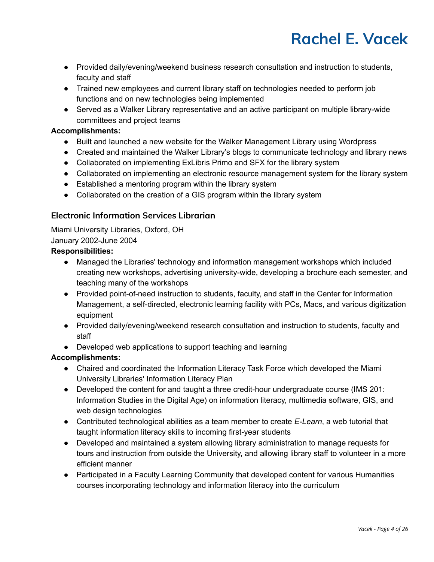- Provided daily/evening/weekend business research consultation and instruction to students, faculty and staff
- Trained new employees and current library staff on technologies needed to perform job functions and on new technologies being implemented
- Served as a Walker Library representative and an active participant on multiple library-wide committees and project teams

## **Accomplishments:**

- Built and launched a new website for the Walker Management Library using Wordpress
- Created and maintained the Walker Library's blogs to communicate technology and library news
- Collaborated on implementing ExLibris Primo and SFX for the library system
- Collaborated on implementing an electronic resource management system for the library system
- Established a mentoring program within the library system
- Collaborated on the creation of a GIS program within the library system

# **Electronic Information Services Librarian**

Miami University Libraries, Oxford, OH January 2002-June 2004

## **Responsibilities:**

- Managed the Libraries' technology and information management workshops which included creating new workshops, advertising university-wide, developing a brochure each semester, and teaching many of the workshops
- Provided point-of-need instruction to students, faculty, and staff in the Center for Information Management, a self-directed, electronic learning facility with PCs, Macs, and various digitization equipment
- Provided daily/evening/weekend research consultation and instruction to students, faculty and staff
- Developed web applications to support teaching and learning

### **Accomplishments:**

- Chaired and coordinated the Information Literacy Task Force which developed the Miami University Libraries' Information Literacy Plan
- Developed the content for and taught a three credit-hour undergraduate course (IMS 201: Information Studies in the Digital Age) on information literacy, multimedia software, GIS, and web design technologies
- Contributed technological abilities as a team member to create *E-Learn*, a web tutorial that taught information literacy skills to incoming first-year students
- Developed and maintained a system allowing library administration to manage requests for tours and instruction from outside the University, and allowing library staff to volunteer in a more efficient manner
- Participated in a Faculty Learning Community that developed content for various Humanities courses incorporating technology and information literacy into the curriculum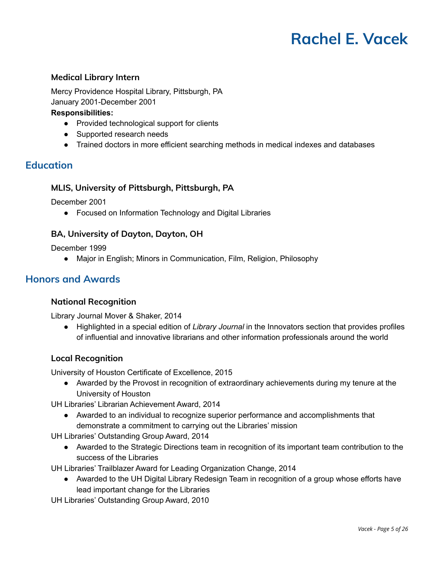## **Medical Library Intern**

Mercy Providence Hospital Library, Pittsburgh, PA January 2001-December 2001

#### **Responsibilities:**

- Provided technological support for clients
- Supported research needs
- Trained doctors in more efficient searching methods in medical indexes and databases

# **Education**

### **MLIS, University of Pittsburgh, Pittsburgh, PA**

December 2001

● Focused on Information Technology and Digital Libraries

### **BA, University of Dayton, Dayton, OH**

December 1999

● Major in English; Minors in Communication, Film, Religion, Philosophy

# **Honors and Awards**

### **National Recognition**

Library Journal Mover & Shaker, 2014

● Highlighted in a special edition of *Library Journal* in the Innovators section that provides profiles of influential and innovative librarians and other information professionals around the world

### **Local Recognition**

University of Houston Certificate of Excellence, 2015

● Awarded by the Provost in recognition of extraordinary achievements during my tenure at the University of Houston

UH Libraries' Librarian Achievement Award, 2014

● Awarded to an individual to recognize superior performance and accomplishments that demonstrate a commitment to carrying out the Libraries' mission

UH Libraries' Outstanding Group Award, 2014

● Awarded to the Strategic Directions team in recognition of its important team contribution to the success of the Libraries

UH Libraries' Trailblazer Award for Leading Organization Change, 2014

● Awarded to the UH Digital Library Redesign Team in recognition of a group whose efforts have lead important change for the Libraries

UH Libraries' Outstanding Group Award, 2010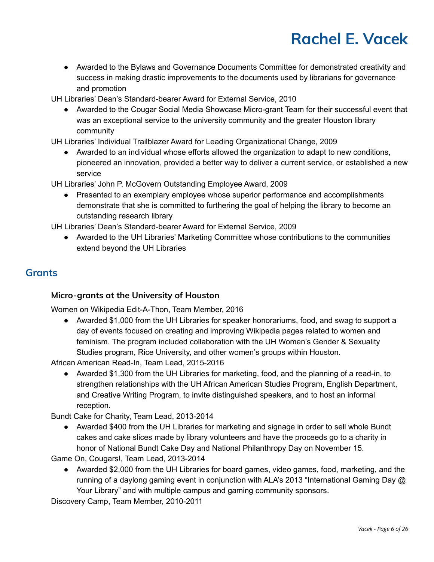● Awarded to the Bylaws and Governance Documents Committee for demonstrated creativity and success in making drastic improvements to the documents used by librarians for governance and promotion

UH Libraries' Dean's Standard-bearer Award for External Service, 2010

● Awarded to the Cougar Social Media Showcase Micro-grant Team for their successful event that was an exceptional service to the university community and the greater Houston library community

UH Libraries' Individual Trailblazer Award for Leading Organizational Change, 2009

● Awarded to an individual whose efforts allowed the organization to adapt to new conditions, pioneered an innovation, provided a better way to deliver a current service, or established a new service

UH Libraries' John P. McGovern Outstanding Employee Award, 2009

● Presented to an exemplary employee whose superior performance and accomplishments demonstrate that she is committed to furthering the goal of helping the library to become an outstanding research library

UH Libraries' Dean's Standard-bearer Award for External Service, 2009

● Awarded to the UH Libraries' Marketing Committee whose contributions to the communities extend beyond the UH Libraries

# **Grants**

# **Micro-grants at the University of Houston**

Women on Wikipedia Edit-A-Thon, Team Member, 2016

● Awarded \$1,000 from the UH Libraries for speaker honorariums, food, and swag to support a day of events focused on creating and improving Wikipedia pages related to women and feminism. The program included collaboration with the UH Women's Gender & Sexuality Studies program, Rice University, and other women's groups within Houston.

African American Read-In, Team Lead, 2015-2016

● Awarded \$1,300 from the UH Libraries for marketing, food, and the planning of a read-in, to strengthen relationships with the UH African American Studies Program, English Department, and Creative Writing Program, to invite distinguished speakers, and to host an informal reception.

Bundt Cake for Charity, Team Lead, 2013-2014

● Awarded \$400 from the UH Libraries for marketing and signage in order to sell whole Bundt cakes and cake slices made by library volunteers and have the proceeds go to a charity in honor of National Bundt Cake Day and National Philanthropy Day on November 15.

Game On, Cougars!, Team Lead, 2013-2014

● Awarded \$2,000 from the UH Libraries for board games, video games, food, marketing, and the running of a daylong gaming event in conjunction with ALA's 2013 "International Gaming Day @ Your Library" and with multiple campus and gaming community sponsors.

Discovery Camp, Team Member, 2010-2011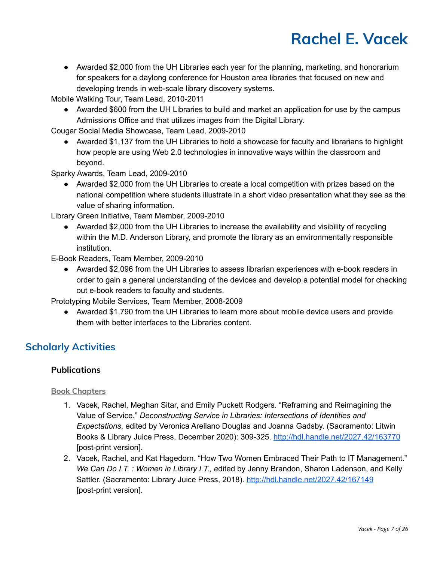● Awarded \$2,000 from the UH Libraries each year for the planning, marketing, and honorarium for speakers for a daylong conference for Houston area libraries that focused on new and developing trends in web-scale library discovery systems.

Mobile Walking Tour, Team Lead, 2010-2011

• Awarded \$600 from the UH Libraries to build and market an application for use by the campus Admissions Office and that utilizes images from the Digital Library.

Cougar Social Media Showcase, Team Lead, 2009-2010

● Awarded \$1,137 from the UH Libraries to hold a showcase for faculty and librarians to highlight how people are using Web 2.0 technologies in innovative ways within the classroom and beyond.

Sparky Awards, Team Lead, 2009-2010

● Awarded \$2,000 from the UH Libraries to create a local competition with prizes based on the national competition where students illustrate in a short video presentation what they see as the value of sharing information.

Library Green Initiative, Team Member, 2009-2010

● Awarded \$2,000 from the UH Libraries to increase the availability and visibility of recycling within the M.D. Anderson Library, and promote the library as an environmentally responsible institution.

E-Book Readers, Team Member, 2009-2010

● Awarded \$2,096 from the UH Libraries to assess librarian experiences with e-book readers in order to gain a general understanding of the devices and develop a potential model for checking out e-book readers to faculty and students.

Prototyping Mobile Services, Team Member, 2008-2009

● Awarded \$1,790 from the UH Libraries to learn more about mobile device users and provide them with better interfaces to the Libraries content.

# **Scholarly Activities**

# **Publications**

# **Book Chapters**

- 1. Vacek, Rachel, Meghan Sitar, and Emily Puckett Rodgers. "Reframing and Reimagining the Value of Service." *Deconstructing Service in Libraries: Intersections of Identities and Expectations*, edited by Veronica Arellano Douglas and Joanna Gadsby. (Sacramento: Litwin Books & Library Juice Press, December 2020): 309-325. <http://hdl.handle.net/2027.42/163770> [post-print version].
- 2. Vacek, Rachel, and Kat Hagedorn. "How Two Women Embraced Their Path to IT Management." *We Can Do I.T. : Women in Library I.T., e*dited by Jenny Brandon, Sharon Ladenson, and Kelly Sattler. (Sacramento: Library Juice Press, 2018). <http://hdl.handle.net/2027.42/167149> [post-print version].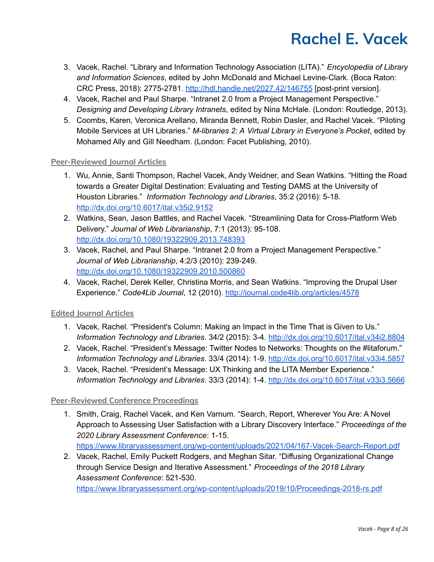- 3. Vacek, Rachel. "Library and Information Technology Association (LITA)." *Encyclopedia of Library and Information Sciences*, edited by John McDonald and Michael Levine-Clark. (Boca Raton: CRC Press, 2018): 2775-2781. <http://hdl.handle.net/2027.42/146755> [post-print version].
- 4. Vacek, Rachel and Paul Sharpe. "Intranet 2.0 from a Project Management Perspective." *Designing and Developing Library Intranets*, edited by Nina McHale. (London: Routledge, 2013).
- 5. Coombs, Karen, Veronica Arellano, Miranda Bennett, Robin Dasler, and Rachel Vacek. "Piloting Mobile Services at UH Libraries." *M-libraries 2: A Virtual Library in Everyone's Pocket*, edited by Mohamed Ally and Gill Needham. (London: Facet Publishing, 2010).

### **Peer-Reviewed Journal Articles**

- 1. Wu, Annie, Santi Thompson, Rachel Vacek, Andy Weidner, and Sean Watkins. "Hitting the Road towards a Greater Digital Destination: Evaluating and Testing DAMS at the University of Houston Libraries." *Information Technology and Libraries*, 35:2 (2016): 5-18. <http://dx.doi.org/10.6017/ital.v35i2.9152>
- 2. Watkins, Sean, Jason Battles, and Rachel Vacek. "Streamlining Data for Cross-Platform Web Delivery." *Journal of Web Librarianship*, 7:1 (2013): 95-108. <http://dx.doi.org/10.1080/19322909.2013.748393>
- 3. Vacek, Rachel, and Paul Sharpe. "Intranet 2.0 from a Project Management Perspective." *Journal of Web Librarianship*, 4:2/3 (2010): 239-249. <http://dx.doi.org/10.1080/19322909.2010.500860>
- 4. Vacek, Rachel, Derek Keller, Christina Morris, and Sean Watkins. "Improving the Drupal User Experience." *Code4Lib Journal*, 12 (2010). <http://journal.code4lib.org/articles/4578>

### **Edited Journal Articles**

- 1. Vacek, Rachel. "President's Column: Making an Impact in the Time That is Given to Us." *Information Technology and Libraries*. 34/2 (2015): 3-4. <http://dx.doi.org/10.6017/ital.v34i2.8804>
- 2. Vacek, Rachel. "President's Message: Twitter Nodes to Networks: Thoughts on the #litaforum." *Information Technology and Libraries*. 33/4 (2014): 1-9. <http://dx.doi.org/10.6017/ital.v33i4.5857>
- 3. Vacek, Rachel. "President's Message: UX Thinking and the LITA Member Experience." *Information Technology and Libraries*. 33/3 (2014): 1-4. <http://dx.doi.org/10.6017/ital.v33i3.5666>

### **Peer-Reviewed Conference Proceedings**

- 1. Smith, Craig, Rachel Vacek, and Ken Varnum. "Search, Report, Wherever You Are: A Novel Approach to Assessing User Satisfaction with a Library Discovery Interface." *Proceedings of the 2020 Library Assessment Conference*: 1-15. <https://www.libraryassessment.org/wp-content/uploads/2021/04/167-Vacek-Search-Report.pdf>
- 2. Vacek, Rachel, Emily Puckett Rodgers, and Meghan Sitar. "Diffusing Organizational Change through Service Design and Iterative Assessment." *Proceedings of the 2018 Library Assessment Conference*: 521-530.

<https://www.libraryassessment.org/wp-content/uploads/2019/10/Proceedings-2018-rs.pdf>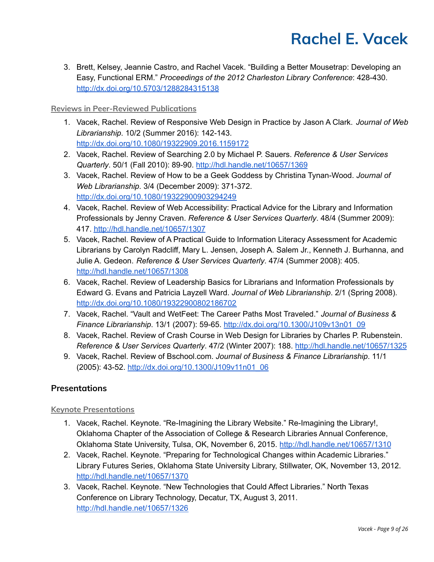3. Brett, Kelsey, Jeannie Castro, and Rachel Vacek. "Building a Better Mousetrap: Developing an Easy, Functional ERM." *Proceedings of the 2012 Charleston Library Conference*: 428-430. <http://dx.doi.org/10.5703/1288284315138>

### **Reviews in Peer-Reviewed Publications**

- 1. Vacek, Rachel. Review of Responsive Web Design in Practice by Jason A Clark. *Journal of Web Librarianship*. 10/2 (Summer 2016): 142-143. <http://dx.doi.org/10.1080/19322909.2016.1159172>
- 2. Vacek, Rachel. Review of Searching 2.0 by Michael P. Sauers. *Reference & User Services Quarterly*. 50/1 (Fall 2010): 89-90. <http://hdl.handle.net/10657/1369>
- 3. Vacek, Rachel. Review of How to be a Geek Goddess by Christina Tynan-Wood. *Journal of Web Librarianship*. 3/4 (December 2009): 371-372. <http://dx.doi.org/10.1080/19322900903294249>
- 4. Vacek, Rachel. Review of Web Accessibility: Practical Advice for the Library and Information Professionals by Jenny Craven. *Reference & User Services Quarterly*. 48/4 (Summer 2009): 417. <http://hdl.handle.net/10657/1307>
- 5. Vacek, Rachel. Review of A Practical Guide to Information Literacy Assessment for Academic Librarians by Carolyn Radcliff, Mary L. Jensen, Joseph A. Salem Jr., Kenneth J. Burhanna, and Julie A. Gedeon. *Reference & User Services Quarterly*. 47/4 (Summer 2008): 405. <http://hdl.handle.net/10657/1308>
- 6. Vacek, Rachel. Review of Leadership Basics for Librarians and Information Professionals by Edward G. Evans and Patricia Layzell Ward. *Journal of Web Librarianship*. 2/1 (Spring 2008). <http://dx.doi.org/10.1080/19322900802186702>
- 7. Vacek, Rachel. "Vault and WetFeet: The Career Paths Most Traveled." *Journal of Business & Finance Librarianship*. 13/1 (2007): 59-65. [http://dx.doi.org/10.1300/J109v13n01\\_09](http://dx.doi.org/10.1300/J109v13n01_09)
- 8. Vacek, Rachel. Review of Crash Course in Web Design for Libraries by Charles P. Rubenstein. *Reference & User Services Quarterly*. 47/2 (Winter 2007): 188. <http://hdl.handle.net/10657/1325>
- 9. Vacek, Rachel. Review of Bschool.com. *Journal of Business & Finance Librarianship*. 11/1 (2005): 43-52. [http://dx.doi.org/10.1300/J109v11n01\\_06](http://dx.doi.org/10.1300/J109v11n01_06)

# **Presentations**

### **Keynote Presentations**

- 1. Vacek, Rachel. Keynote. "Re-Imagining the Library Website." Re-Imagining the Library!, Oklahoma Chapter of the Association of College & Research Libraries Annual Conference, Oklahoma State University, Tulsa, OK, November 6, 2015. <http://hdl.handle.net/10657/1310>
- 2. Vacek, Rachel. Keynote. "Preparing for Technological Changes within Academic Libraries." Library Futures Series, Oklahoma State University Library, Stillwater, OK, November 13, 2012. <http://hdl.handle.net/10657/1370>
- 3. Vacek, Rachel. Keynote. "New Technologies that Could Affect Libraries." North Texas Conference on Library Technology, Decatur, TX, August 3, 2011. <http://hdl.handle.net/10657/1326>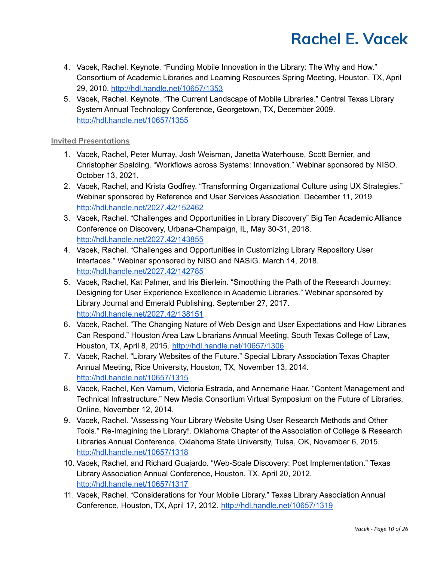- 4. Vacek, Rachel. Keynote. "Funding Mobile Innovation in the Library: The Why and How." Consortium of Academic Libraries and Learning Resources Spring Meeting, Houston, TX, April 29, 2010. <http://hdl.handle.net/10657/1353>
- 5. Vacek, Rachel. Keynote. "The Current Landscape of Mobile Libraries." Central Texas Library System Annual Technology Conference, Georgetown, TX, December 2009. <http://hdl.handle.net/10657/1355>

### **Invited Presentations**

- 1. Vacek, Rachel, Peter Murray, Josh Weisman, Janetta Waterhouse, Scott Bernier, and Christopher Spalding. "Workflows across Systems: Innovation." Webinar sponsored by NISO. October 13, 2021.
- 2. Vacek, Rachel, and Krista Godfrey. "Transforming Organizational Culture using UX Strategies." Webinar sponsored by Reference and User Services Association. December 11, 2019. <http://hdl.handle.net/2027.42/152462>
- 3. Vacek, Rachel. "Challenges and Opportunities in Library Discovery" Big Ten Academic Alliance Conference on Discovery, Urbana-Champaign, IL, May 30-31, 2018. <http://hdl.handle.net/2027.42/143855>
- 4. Vacek, Rachel. "Challenges and Opportunities in Customizing Library Repository User Interfaces." Webinar sponsored by NISO and NASIG. March 14, 2018. <http://hdl.handle.net/2027.42/142785>
- 5. Vacek, Rachel, Kat Palmer, and Iris Bierlein. "Smoothing the Path of the Research Journey: Designing for User Experience Excellence in Academic Libraries." Webinar sponsored by Library Journal and Emerald Publishing. September 27, 2017. <http://hdl.handle.net/2027.42/138151>
- 6. Vacek, Rachel. "The Changing Nature of Web Design and User Expectations and How Libraries Can Respond." Houston Area Law Librarians Annual Meeting, South Texas College of Law, Houston, TX, April 8, 2015. <http://hdl.handle.net/10657/1306>
- 7. Vacek, Rachel. "Library Websites of the Future." Special Library Association Texas Chapter Annual Meeting, Rice University, Houston, TX, November 13, 2014. <http://hdl.handle.net/10657/1315>
- 8. Vacek, Rachel, Ken Varnum, Victoria Estrada, and Annemarie Haar. "Content Management and Technical Infrastructure." New Media Consortium Virtual Symposium on the Future of Libraries, Online, November 12, 2014.
- 9. Vacek, Rachel. "Assessing Your Library Website Using User Research Methods and Other Tools." Re-Imagining the Library!, Oklahoma Chapter of the Association of College & Research Libraries Annual Conference, Oklahoma State University, Tulsa, OK, November 6, 2015. <http://hdl.handle.net/10657/1318>
- 10. Vacek, Rachel, and Richard Guajardo. "Web-Scale Discovery: Post Implementation." Texas Library Association Annual Conference, Houston, TX, April 20, 2012. <http://hdl.handle.net/10657/1317>
- 11. Vacek, Rachel. "Considerations for Your Mobile Library." Texas Library Association Annual Conference, Houston, TX, April 17, 2012. <http://hdl.handle.net/10657/1319>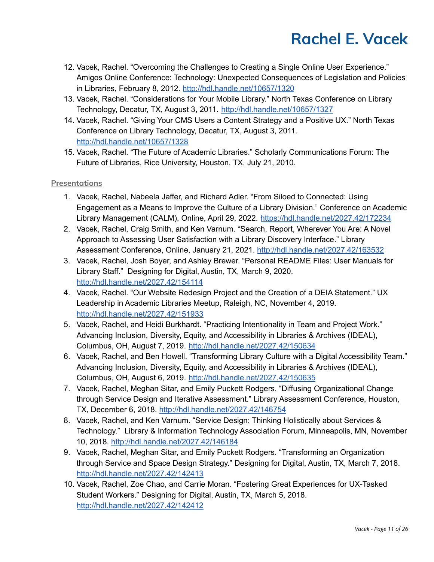- 12. Vacek, Rachel. "Overcoming the Challenges to Creating a Single Online User Experience." Amigos Online Conference: Technology: Unexpected Consequences of Legislation and Policies in Libraries, February 8, 2012. <http://hdl.handle.net/10657/1320>
- 13. Vacek, Rachel. "Considerations for Your Mobile Library." North Texas Conference on Library Technology, Decatur, TX, August 3, 2011. <http://hdl.handle.net/10657/1327>
- 14. Vacek, Rachel. "Giving Your CMS Users a Content Strategy and a Positive UX." North Texas Conference on Library Technology, Decatur, TX, August 3, 2011. <http://hdl.handle.net/10657/1328>
- 15. Vacek, Rachel. "The Future of Academic Libraries." Scholarly Communications Forum: The Future of Libraries, Rice University, Houston, TX, July 21, 2010.

### **Presentations**

- 1. Vacek, Rachel, Nabeela Jaffer, and Richard Adler. "From Siloed to Connected: Using Engagement as a Means to Improve the Culture of a Library Division." Conference on Academic Library Management (CALM), Online, April 29, 2022. <https://hdl.handle.net/2027.42/172234>
- 2. Vacek, Rachel, Craig Smith, and Ken Varnum. "Search, Report, Wherever You Are: A Novel Approach to Assessing User Satisfaction with a Library Discovery Interface." Library Assessment Conference, Online, January 21, 2021. <http://hdl.handle.net/2027.42/163532>
- 3. Vacek, Rachel, Josh Boyer, and Ashley Brewer. "Personal README Files: User Manuals for Library Staff." Designing for Digital, Austin, TX, March 9, 2020. <http://hdl.handle.net/2027.42/154114>
- 4. Vacek, Rachel. "Our Website Redesign Project and the Creation of a DEIA Statement." UX Leadership in Academic Libraries Meetup, Raleigh, NC, November 4, 2019. <http://hdl.handle.net/2027.42/151933>
- 5. Vacek, Rachel, and Heidi Burkhardt. "Practicing Intentionality in Team and Project Work." Advancing Inclusion, Diversity, Equity, and Accessibility in Libraries & Archives (IDEAL), Columbus, OH, August 7, 2019. <http://hdl.handle.net/2027.42/150634>
- 6. Vacek, Rachel, and Ben Howell. "Transforming Library Culture with a Digital Accessibility Team." Advancing Inclusion, Diversity, Equity, and Accessibility in Libraries & Archives (IDEAL), Columbus, OH, August 6, 2019. <http://hdl.handle.net/2027.42/150635>
- 7. Vacek, Rachel, Meghan Sitar, and Emily Puckett Rodgers. "Diffusing Organizational Change through Service Design and Iterative Assessment." Library Assessment Conference, Houston, TX, December 6, 2018. <http://hdl.handle.net/2027.42/146754>
- 8. Vacek, Rachel, and Ken Varnum. "Service Design: Thinking Holistically about Services & Technology." Library & Information Technology Association Forum, Minneapolis, MN, November 10, 2018. <http://hdl.handle.net/2027.42/146184>
- 9. Vacek, Rachel, Meghan Sitar, and Emily Puckett Rodgers. "Transforming an Organization through Service and Space Design Strategy." Designing for Digital, Austin, TX, March 7, 2018. <http://hdl.handle.net/2027.42/142413>
- 10. Vacek, Rachel, Zoe Chao, and Carrie Moran. "Fostering Great Experiences for UX-Tasked Student Workers." Designing for Digital, Austin, TX, March 5, 2018. <http://hdl.handle.net/2027.42/142412>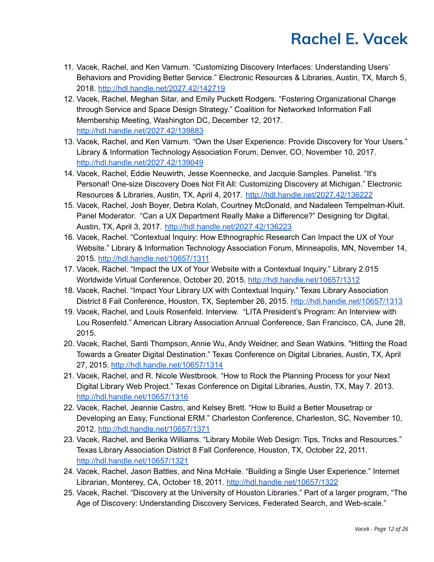- 11. Vacek, Rachel, and Ken Varnum. "Customizing Discovery Interfaces: Understanding Users' Behaviors and Providing Better Service." Electronic Resources & Libraries, Austin, TX, March 5, 2018. <http://hdl.handle.net/2027.42/142719>
- 12. Vacek, Rachel, Meghan Sitar, and Emily Puckett Rodgers. "Fostering Organizational Change through Service and Space Design Strategy." Coalition for Networked Information Fall Membership Meeting, Washington DC, December 12, 2017. <http://hdl.handle.net/2027.42/139883>
- 13. Vacek, Rachel, and Ken Varnum. "Own the User Experience: Provide Discovery for Your Users." Library & Information Technology Association Forum, Denver, CO, November 10, 2017. <http://hdl.handle.net/2027.42/139049>
- 14. Vacek, Rachel, Eddie Neuwirth, Jesse Koennecke, and Jacquie Samples. Panelist. "It's Personal! One-size Discovery Does Not Fit All: Customizing Discovery at Michigan." Electronic Resources & Libraries, Austin, TX, April 4, 2017. <http://hdl.handle.net/2027.42/136222>
- 15. Vacek, Rachel, Josh Boyer, Debra Kolah, Courtney McDonald, and Nadaleen Tempelman-Kluit. Panel Moderator. "Can a UX Department Really Make a Difference?" Designing for Digital, Austin, TX, April 3, 2017. <http://hdl.handle.net/2027.42/136223>
- 16. Vacek, Rachel. "Contextual Inquiry: How Ethnographic Research Can Impact the UX of Your Website." Library & Information Technology Association Forum, Minneapolis, MN, November 14, 2015. <http://hdl.handle.net/10657/1311>
- 17. Vacek, Rachel. "Impact the UX of Your Website with a Contextual Inquiry." Library 2.015 Worldwide Virtual Conference, October 20, 2015. <http://hdl.handle.net/10657/1312>
- 18. Vacek, Rachel. "Impact Your Library UX with Contextual Inquiry." Texas Library Association District 8 Fall Conference, Houston, TX, September 26, 2015. <http://hdl.handle.net/10657/1313>
- 19. Vacek, Rachel, and Louis Rosenfeld. Interview. "LITA President's Program: An Interview with Lou Rosenfeld." American Library Association Annual Conference, San Francisco, CA, June 28, 2015.
- 20. Vacek, Rachel, Santi Thompson, Annie Wu, Andy Weidner, and Sean Watkins. "Hitting the Road Towards a Greater Digital Destination." Texas Conference on Digital Libraries, Austin, TX, April 27, 2015. <http://hdl.handle.net/10657/1314>
- 21. Vacek, Rachel, and R. Nicole Westbrook. "How to Rock the Planning Process for your Next Digital Library Web Project." Texas Conference on Digital Libraries, Austin, TX, May 7. 2013. <http://hdl.handle.net/10657/1316>
- 22. Vacek, Rachel, Jeannie Castro, and Kelsey Brett. "How to Build a Better Mousetrap or Developing an Easy, Functional ERM." Charleston Conference, Charleston, SC, November 10, 2012. <http://hdl.handle.net/10657/1371>
- 23. Vacek, Rachel, and Berika Williams. "Library Mobile Web Design: Tips, Tricks and Resources." Texas Library Association District 8 Fall Conference, Houston, TX, October 22, 2011. <http://hdl.handle.net/10657/1321>
- 24. Vacek, Rachel, Jason Battles, and Nina McHale. "Building a Single User Experience." Internet Librarian, Monterey, CA, October 18, 2011. <http://hdl.handle.net/10657/1322>
- 25. Vacek, Rachel. "Discovery at the University of Houston Libraries." Part of a larger program, "The Age of Discovery: Understanding Discovery Services, Federated Search, and Web-scale."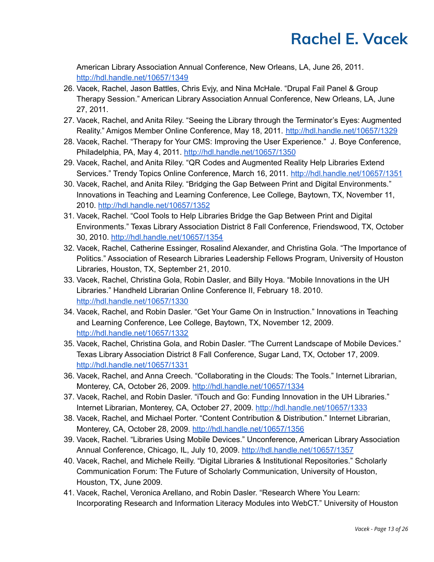American Library Association Annual Conference, New Orleans, LA, June 26, 2011. <http://hdl.handle.net/10657/1349>

- 26. Vacek, Rachel, Jason Battles, Chris Evjy, and Nina McHale. "Drupal Fail Panel & Group Therapy Session." American Library Association Annual Conference, New Orleans, LA, June 27, 2011.
- 27. Vacek, Rachel, and Anita Riley. "Seeing the Library through the Terminator's Eyes: Augmented Reality." Amigos Member Online Conference, May 18, 2011. <http://hdl.handle.net/10657/1329>
- 28. Vacek, Rachel. "Therapy for Your CMS: Improving the User Experience." J. Boye Conference, Philadelphia, PA, May 4, 2011. <http://hdl.handle.net/10657/1350>
- 29. Vacek, Rachel, and Anita Riley. "QR Codes and Augmented Reality Help Libraries Extend Services." Trendy Topics Online Conference, March 16, 2011. <http://hdl.handle.net/10657/1351>
- 30. Vacek, Rachel, and Anita Riley. "Bridging the Gap Between Print and Digital Environments." Innovations in Teaching and Learning Conference, Lee College, Baytown, TX, November 11, 2010. <http://hdl.handle.net/10657/1352>
- 31. Vacek, Rachel. "Cool Tools to Help Libraries Bridge the Gap Between Print and Digital Environments." Texas Library Association District 8 Fall Conference, Friendswood, TX, October 30, 2010. <http://hdl.handle.net/10657/1354>
- 32. Vacek, Rachel, Catherine Essinger, Rosalind Alexander, and Christina Gola. "The Importance of Politics." Association of Research Libraries Leadership Fellows Program, University of Houston Libraries, Houston, TX, September 21, 2010.
- 33. Vacek, Rachel, Christina Gola, Robin Dasler, and Billy Hoya. "Mobile Innovations in the UH Libraries." Handheld Librarian Online Conference II, February 18. 2010. <http://hdl.handle.net/10657/1330>
- 34. Vacek, Rachel, and Robin Dasler. "Get Your Game On in Instruction." Innovations in Teaching and Learning Conference, Lee College, Baytown, TX, November 12, 2009. <http://hdl.handle.net/10657/1332>
- 35. Vacek, Rachel, Christina Gola, and Robin Dasler. "The Current Landscape of Mobile Devices." Texas Library Association District 8 Fall Conference, Sugar Land, TX, October 17, 2009. <http://hdl.handle.net/10657/1331>
- 36. Vacek, Rachel, and Anna Creech. "Collaborating in the Clouds: The Tools." Internet Librarian, Monterey, CA, October 26, 2009. <http://hdl.handle.net/10657/1334>
- 37. Vacek, Rachel, and Robin Dasler. "iTouch and Go: Funding Innovation in the UH Libraries." Internet Librarian, Monterey, CA, October 27, 2009. <http://hdl.handle.net/10657/1333>
- 38. Vacek, Rachel, and Michael Porter. "Content Contribution & Distribution." Internet Librarian, Monterey, CA, October 28, 2009. <http://hdl.handle.net/10657/1356>
- 39. Vacek, Rachel. "Libraries Using Mobile Devices." Unconference, American Library Association Annual Conference, Chicago, IL, July 10, 2009. <http://hdl.handle.net/10657/1357>
- 40. Vacek, Rachel, and Michele Reilly. "Digital Libraries & Institutional Repositories." Scholarly Communication Forum: The Future of Scholarly Communication, University of Houston, Houston, TX, June 2009.
- 41. Vacek, Rachel, Veronica Arellano, and Robin Dasler. "Research Where You Learn: Incorporating Research and Information Literacy Modules into WebCT." University of Houston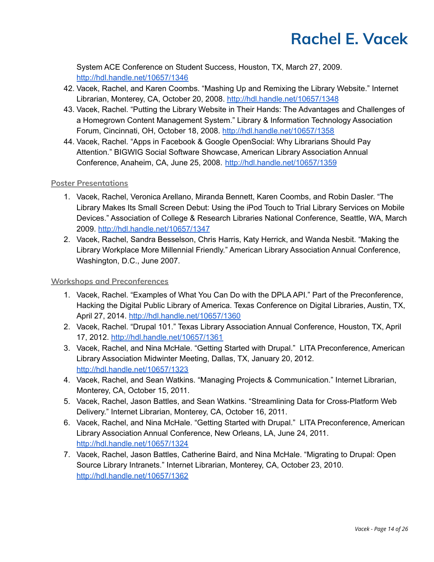System ACE Conference on Student Success, Houston, TX, March 27, 2009. <http://hdl.handle.net/10657/1346>

- 42. Vacek, Rachel, and Karen Coombs. "Mashing Up and Remixing the Library Website." Internet Librarian, Monterey, CA, October 20, 2008. <http://hdl.handle.net/10657/1348>
- 43. Vacek, Rachel. "Putting the Library Website in Their Hands: The Advantages and Challenges of a Homegrown Content Management System." Library & Information Technology Association Forum, Cincinnati, OH, October 18, 2008. <http://hdl.handle.net/10657/1358>
- 44. Vacek, Rachel. "Apps in Facebook & Google OpenSocial: Why Librarians Should Pay Attention." BIGWIG Social Software Showcase, American Library Association Annual Conference, Anaheim, CA, June 25, 2008. <http://hdl.handle.net/10657/1359>

### **Poster Presentations**

- 1. Vacek, Rachel, Veronica Arellano, Miranda Bennett, Karen Coombs, and Robin Dasler. "The Library Makes Its Small Screen Debut: Using the iPod Touch to Trial Library Services on Mobile Devices." Association of College & Research Libraries National Conference, Seattle, WA, March 2009. <http://hdl.handle.net/10657/1347>
- 2. Vacek, Rachel, Sandra Besselson, Chris Harris, Katy Herrick, and Wanda Nesbit. "Making the Library Workplace More Millennial Friendly." American Library Association Annual Conference, Washington, D.C., June 2007.

#### **Workshops and Preconferences**

- 1. Vacek, Rachel. "Examples of What You Can Do with the DPLA API." Part of the Preconference, Hacking the Digital Public Library of America. Texas Conference on Digital Libraries, Austin, TX, April 27, 2014. <http://hdl.handle.net/10657/1360>
- 2. Vacek, Rachel. "Drupal 101." Texas Library Association Annual Conference, Houston, TX, April 17, 2012. <http://hdl.handle.net/10657/1361>
- 3. Vacek, Rachel, and Nina McHale. "Getting Started with Drupal." LITA Preconference, American Library Association Midwinter Meeting, Dallas, TX, January 20, 2012. <http://hdl.handle.net/10657/1323>
- 4. Vacek, Rachel, and Sean Watkins. "Managing Projects & Communication." Internet Librarian, Monterey, CA, October 15, 2011.
- 5. Vacek, Rachel, Jason Battles, and Sean Watkins. "Streamlining Data for Cross-Platform Web Delivery." Internet Librarian, Monterey, CA, October 16, 2011.
- 6. Vacek, Rachel, and Nina McHale. "Getting Started with Drupal." LITA Preconference, American Library Association Annual Conference, New Orleans, LA, June 24, 2011. <http://hdl.handle.net/10657/1324>
- 7. Vacek, Rachel, Jason Battles, Catherine Baird, and Nina McHale. "Migrating to Drupal: Open Source Library Intranets." Internet Librarian, Monterey, CA, October 23, 2010. <http://hdl.handle.net/10657/1362>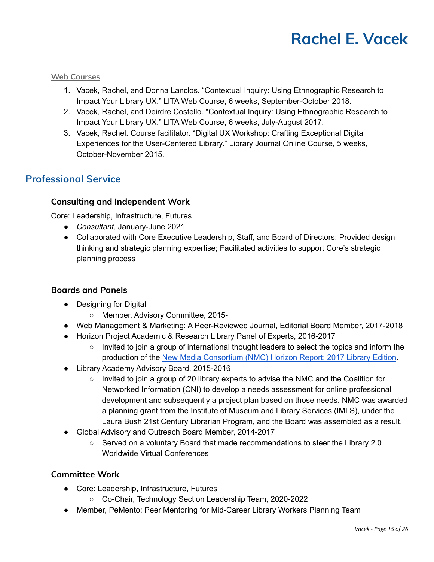#### **Web Courses**

- 1. Vacek, Rachel, and Donna Lanclos. "Contextual Inquiry: Using Ethnographic Research to Impact Your Library UX." LITA Web Course, 6 weeks, September-October 2018.
- 2. Vacek, Rachel, and Deirdre Costello. "Contextual Inquiry: Using Ethnographic Research to Impact Your Library UX." LITA Web Course, 6 weeks, July-August 2017.
- 3. Vacek, Rachel. Course facilitator. "Digital UX Workshop: Crafting Exceptional Digital Experiences for the User-Centered Library." Library Journal Online Course, 5 weeks, October-November 2015.

# **Professional Service**

# **Consulting and Independent Work**

Core: Leadership, Infrastructure, Futures

- *Consultant*, January-June 2021
- Collaborated with Core Executive Leadership, Staff, and Board of Directors; Provided design thinking and strategic planning expertise; Facilitated activities to support Core's strategic planning process

### **Boards and Panels**

- Designing for Digital
	- Member, Advisory Committee, 2015-
- Web Management & Marketing: A Peer-Reviewed Journal, Editorial Board Member, 2017-2018
- Horizon Project Academic & Research Library Panel of Experts, 2016-2017
	- Invited to join a group of international thought leaders to select the topics and inform the production of the New Media [Consortium](https://library.educause.edu/resources/2017/12/horizon-report-library-edition-2014-2017) (NMC) Horizon Report: 2017 Library Edition.
- Library Academy Advisory Board, 2015-2016
	- Invited to join a group of 20 library experts to advise the NMC and the Coalition for Networked Information (CNI) to develop a needs assessment for online professional development and subsequently a project plan based on those needs. NMC was awarded a planning grant from the Institute of Museum and Library Services (IMLS), under the Laura Bush 21st Century Librarian Program, and the Board was assembled as a result.
- Global Advisory and Outreach Board Member, 2014-2017
	- Served on a voluntary Board that made recommendations to steer the Library 2.0 Worldwide Virtual Conferences

### **Committee Work**

- Core: Leadership, Infrastructure, Futures
	- Co-Chair, Technology Section Leadership Team, 2020-2022
- Member, PeMento: Peer Mentoring for Mid-Career Library Workers Planning Team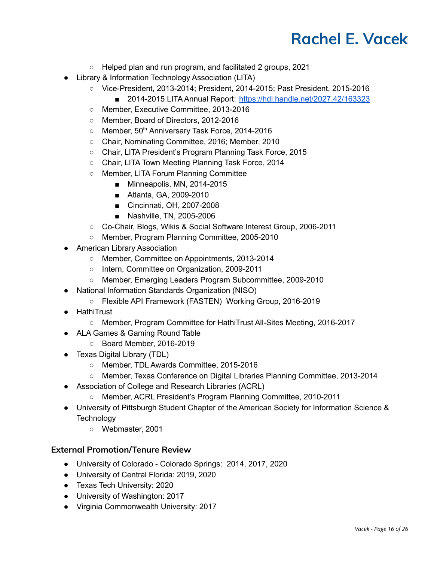- Helped plan and run program, and facilitated 2 groups, 2021
- Library & Information Technology Association (LITA)
	- Vice-President, 2013-2014; President, 2014-2015; Past President, 2015-2016
		- 2014-2015 LITA Annual Report: <https://hdl.handle.net/2027.42/163323>
	- Member, Executive Committee, 2013-2016
	- Member, Board of Directors, 2012-2016
	- Member, 50<sup>th</sup> Anniversary Task Force, 2014-2016
	- Chair, Nominating Committee, 2016; Member, 2010
	- Chair, LITA President's Program Planning Task Force, 2015
	- Chair, LITA Town Meeting Planning Task Force, 2014
	- Member, LITA Forum Planning Committee
		- Minneapolis, MN, 2014-2015
		- Atlanta, GA, 2009-2010
		- Cincinnati, OH, 2007-2008
		- Nashville, TN, 2005-2006
	- Co-Chair, Blogs, Wikis & Social Software Interest Group, 2006-2011
	- Member, Program Planning Committee, 2005-2010
- American Library Association
	- Member, Committee on Appointments, 2013-2014
	- Intern, Committee on Organization, 2009-2011
	- Member, Emerging Leaders Program Subcommittee, 2009-2010
- National Information Standards Organization (NISO)
	- Flexible API Framework (FASTEN) Working Group, 2016-2019
- HathiTrust
	- Member, Program Committee for HathiTrust All-Sites Meeting, 2016-2017
- ALA Games & Gaming Round Table
	- Board Member, 2016-2019
- Texas Digital Library (TDL)
	- Member, TDL Awards Committee, 2015-2016
	- Member, Texas Conference on Digital Libraries Planning Committee, 2013-2014
- Association of College and Research Libraries (ACRL)
	- Member, ACRL President's Program Planning Committee, 2010-2011
- University of Pittsburgh Student Chapter of the American Society for Information Science & **Technology** 
	- Webmaster, 2001

### **External Promotion/Tenure Review**

- University of Colorado Colorado Springs: 2014, 2017, 2020
- University of Central Florida: 2019, 2020
- Texas Tech University: 2020
- University of Washington: 2017
- Virginia Commonwealth University: 2017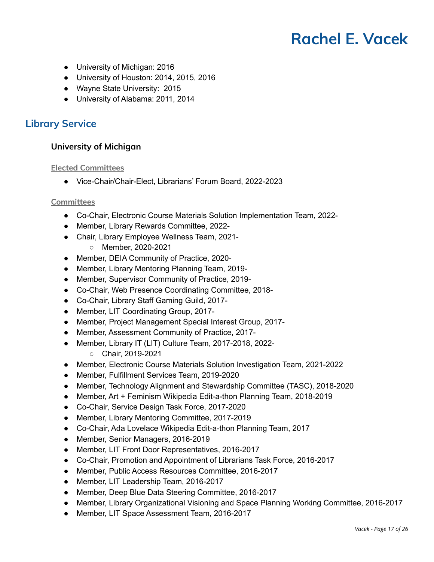- University of Michigan: 2016
- University of Houston: 2014, 2015, 2016
- Wayne State University: 2015
- University of Alabama: 2011, 2014

# **Library Service**

## **University of Michigan**

#### **Elected Committees**

● Vice-Chair/Chair-Elect, Librarians' Forum Board, 2022-2023

#### **Committees**

- Co-Chair, Electronic Course Materials Solution Implementation Team, 2022-
- Member, Library Rewards Committee, 2022-
- Chair, Library Employee Wellness Team, 2021-
	- Member, 2020-2021
- Member, DEIA Community of Practice, 2020-
- Member, Library Mentoring Planning Team, 2019-
- Member, Supervisor Community of Practice, 2019-
- Co-Chair, Web Presence Coordinating Committee, 2018-
- Co-Chair, Library Staff Gaming Guild, 2017-
- Member, LIT Coordinating Group, 2017-
- Member, Project Management Special Interest Group, 2017-
- Member, Assessment Community of Practice, 2017-
- Member, Library IT (LIT) Culture Team, 2017-2018, 2022-
	- Chair, 2019-2021
- Member, Electronic Course Materials Solution Investigation Team, 2021-2022
- Member, Fulfillment Services Team, 2019-2020
- Member, Technology Alignment and Stewardship Committee (TASC), 2018-2020
- Member, Art + Feminism Wikipedia Edit-a-thon Planning Team, 2018-2019
- Co-Chair, Service Design Task Force, 2017-2020
- Member, Library Mentoring Committee, 2017-2019
- Co-Chair, Ada Lovelace Wikipedia Edit-a-thon Planning Team, 2017
- Member, Senior Managers, 2016-2019
- Member, LIT Front Door Representatives, 2016-2017
- Co-Chair, Promotion and Appointment of Librarians Task Force, 2016-2017
- Member, Public Access Resources Committee, 2016-2017
- Member, LIT Leadership Team, 2016-2017
- Member, Deep Blue Data Steering Committee, 2016-2017
- Member, Library Organizational Visioning and Space Planning Working Committee, 2016-2017
- Member, LIT Space Assessment Team, 2016-2017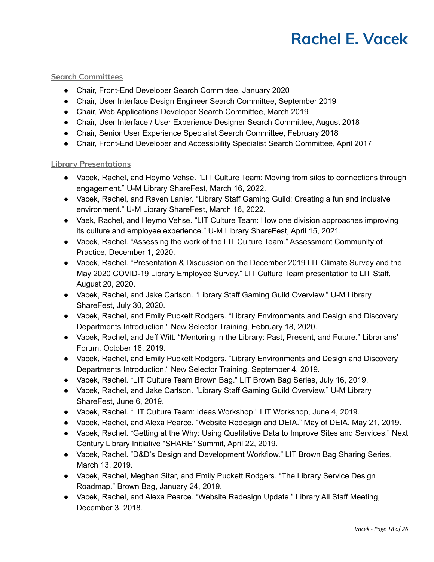#### **Search Committees**

- Chair, Front-End Developer Search Committee, January 2020
- Chair, User Interface Design Engineer Search Committee, September 2019
- Chair, Web Applications Developer Search Committee, March 2019
- Chair, User Interface / User Experience Designer Search Committee, August 2018
- Chair, Senior User Experience Specialist Search Committee, February 2018
- Chair, Front-End Developer and Accessibility Specialist Search Committee, April 2017

#### **Library Presentations**

- Vacek, Rachel, and Heymo Vehse. "LIT Culture Team: Moving from silos to connections through engagement." U-M Library ShareFest, March 16, 2022.
- Vacek, Rachel, and Raven Lanier. "Library Staff Gaming Guild: Creating a fun and inclusive environment." U-M Library ShareFest, March 16, 2022.
- Vaek, Rachel, and Heymo Vehse. "LIT Culture Team: How one division approaches improving its culture and employee experience." U-M Library ShareFest, April 15, 2021.
- Vacek, Rachel. "Assessing the work of the LIT Culture Team." Assessment Community of Practice, December 1, 2020.
- Vacek, Rachel. "Presentation & Discussion on the December 2019 LIT Climate Survey and the May 2020 COVID-19 Library Employee Survey." LIT Culture Team presentation to LIT Staff, August 20, 2020.
- Vacek, Rachel, and Jake Carlson. "Library Staff Gaming Guild Overview." U-M Library ShareFest, July 30, 2020.
- Vacek, Rachel, and Emily Puckett Rodgers. "Library Environments and Design and Discovery Departments Introduction." New Selector Training, February 18, 2020.
- Vacek, Rachel, and Jeff Witt. "Mentoring in the Library: Past, Present, and Future." Librarians' Forum, October 16, 2019.
- Vacek, Rachel, and Emily Puckett Rodgers. "Library Environments and Design and Discovery Departments Introduction." New Selector Training, September 4, 2019.
- Vacek, Rachel. "LIT Culture Team Brown Bag." LIT Brown Bag Series, July 16, 2019.
- Vacek, Rachel, and Jake Carlson. "Library Staff Gaming Guild Overview." U-M Library ShareFest, June 6, 2019.
- Vacek, Rachel. "LIT Culture Team: Ideas Workshop." LIT Workshop, June 4, 2019.
- Vacek, Rachel, and Alexa Pearce. "Website Redesign and DEIA." May of DEIA, May 21, 2019.
- Vacek, Rachel. "Getting at the Why: Using Qualitative Data to Improve Sites and Services." Next Century Library Initiative "SHARE" Summit, April 22, 2019.
- Vacek, Rachel. "D&D's Design and Development Workflow." LIT Brown Bag Sharing Series, March 13, 2019.
- Vacek, Rachel, Meghan Sitar, and Emily Puckett Rodgers. "The Library Service Design Roadmap." Brown Bag, January 24, 2019.
- Vacek, Rachel, and Alexa Pearce. "Website Redesign Update." Library All Staff Meeting, December 3, 2018.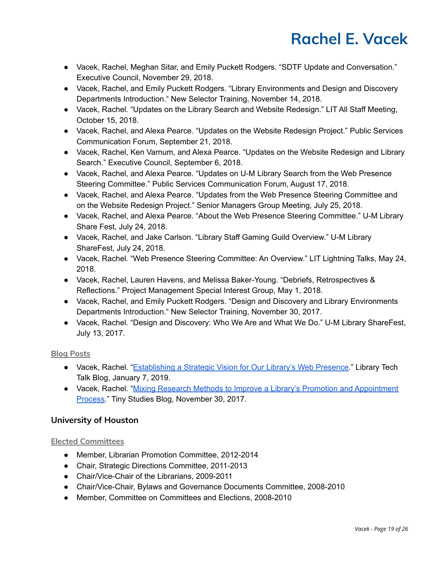- Vacek, Rachel, Meghan Sitar, and Emily Puckett Rodgers. "SDTF Update and Conversation." Executive Council, November 29, 2018.
- Vacek, Rachel, and Emily Puckett Rodgers. "Library Environments and Design and Discovery Departments Introduction." New Selector Training, November 14, 2018.
- Vacek, Rachel. "Updates on the Library Search and Website Redesign." LIT All Staff Meeting, October 15, 2018.
- Vacek, Rachel, and Alexa Pearce. "Updates on the Website Redesign Project." Public Services Communication Forum, September 21, 2018.
- Vacek, Rachel, Ken Varnum, and Alexa Pearce. "Updates on the Website Redesign and Library Search." Executive Council, September 6, 2018.
- Vacek, Rachel, and Alexa Pearce. "Updates on U-M Library Search from the Web Presence Steering Committee." Public Services Communication Forum, August 17, 2018.
- Vacek, Rachel, and Alexa Pearce. "Updates from the Web Presence Steering Committee and on the Website Redesign Project." Senior Managers Group Meeting, July 25, 2018.
- Vacek, Rachel, and Alexa Pearce. "About the Web Presence Steering Committee." U-M Library Share Fest, July 24, 2018.
- Vacek, Rachel, and Jake Carlson. "Library Staff Gaming Guild Overview." U-M Library ShareFest, July 24, 2018.
- Vacek, Rachel. "Web Presence Steering Committee: An Overview." LIT Lightning Talks, May 24, 2018.
- Vacek, Rachel, Lauren Havens, and Melissa Baker-Young. "Debriefs, Retrospectives & Reflections." Project Management Special Interest Group, May 1, 2018.
- Vacek, Rachel, and Emily Puckett Rodgers. "Design and Discovery and Library Environments Departments Introduction." New Selector Training, November 30, 2017.
- Vacek, Rachel. "Design and Discovery: Who We Are and What We Do." U-M Library ShareFest, July 13, 2017.

# **Blog Posts**

- Vacek, Rachel. "[Establishing](https://www.lib.umich.edu/blogs/library-tech-talk/establishing-strategic-vision-our-library%E2%80%99s-web-presence) a Strategic Vision for Our Library's Web Presence." Library Tech Talk Blog, January 7, 2019.
- Vacek, Rachel. "Mixing Research Methods to Improve a Library's Promotion and [Appointment](https://www.lib.umich.edu/blogs/tiny-studies/mixing-research-methods-improve-library%E2%80%99s-promotion-and-appointment-process) [Process.](https://www.lib.umich.edu/blogs/tiny-studies/mixing-research-methods-improve-library%E2%80%99s-promotion-and-appointment-process)" Tiny Studies Blog, November 30, 2017.

# **University of Houston**

# **Elected Committees**

- Member, Librarian Promotion Committee, 2012-2014
- Chair, Strategic Directions Committee, 2011-2013
- Chair/Vice-Chair of the Librarians, 2009-2011
- Chair/Vice-Chair, Bylaws and Governance Documents Committee, 2008-2010
- Member, Committee on Committees and Elections, 2008-2010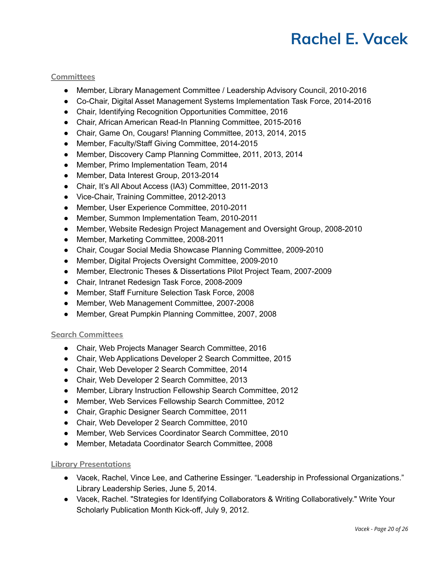#### **Committees**

- Member, Library Management Committee / Leadership Advisory Council, 2010-2016
- Co-Chair, Digital Asset Management Systems Implementation Task Force, 2014-2016
- Chair, Identifying Recognition Opportunities Committee, 2016
- Chair, African American Read-In Planning Committee, 2015-2016
- Chair, Game On, Cougars! Planning Committee, 2013, 2014, 2015
- Member, Faculty/Staff Giving Committee, 2014-2015
- Member, Discovery Camp Planning Committee, 2011, 2013, 2014
- Member, Primo Implementation Team, 2014
- Member, Data Interest Group, 2013-2014
- Chair, It's All About Access (IA3) Committee, 2011-2013
- Vice-Chair, Training Committee, 2012-2013
- Member, User Experience Committee, 2010-2011
- Member, Summon Implementation Team, 2010-2011
- Member, Website Redesign Project Management and Oversight Group, 2008-2010
- Member, Marketing Committee, 2008-2011
- Chair, Cougar Social Media Showcase Planning Committee, 2009-2010
- Member, Digital Projects Oversight Committee, 2009-2010
- Member, Electronic Theses & Dissertations Pilot Project Team, 2007-2009
- Chair, Intranet Redesign Task Force, 2008-2009
- Member, Staff Furniture Selection Task Force, 2008
- Member, Web Management Committee, 2007-2008
- Member, Great Pumpkin Planning Committee, 2007, 2008

#### **Search Committees**

- Chair, Web Projects Manager Search Committee, 2016
- Chair, Web Applications Developer 2 Search Committee, 2015
- Chair, Web Developer 2 Search Committee, 2014
- Chair, Web Developer 2 Search Committee, 2013
- Member, Library Instruction Fellowship Search Committee, 2012
- Member, Web Services Fellowship Search Committee, 2012
- Chair, Graphic Designer Search Committee, 2011
- Chair, Web Developer 2 Search Committee, 2010
- Member, Web Services Coordinator Search Committee, 2010
- Member, Metadata Coordinator Search Committee, 2008

### **Library Presentations**

- Vacek, Rachel, Vince Lee, and Catherine Essinger. "Leadership in Professional Organizations." Library Leadership Series, June 5, 2014.
- Vacek, Rachel. "Strategies for Identifying Collaborators & Writing Collaboratively." Write Your Scholarly Publication Month Kick-off, July 9, 2012.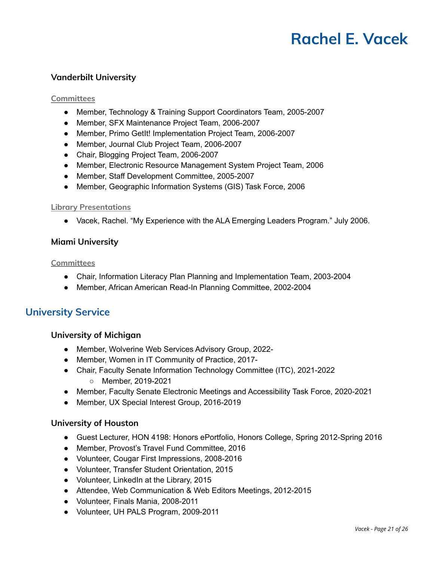# **Vanderbilt University**

#### **Committees**

- Member, Technology & Training Support Coordinators Team, 2005-2007
- Member, SFX Maintenance Project Team, 2006-2007
- Member, Primo GetIt! Implementation Project Team, 2006-2007
- Member, Journal Club Project Team, 2006-2007
- Chair, Blogging Project Team, 2006-2007
- Member, Electronic Resource Management System Project Team, 2006
- Member, Staff Development Committee, 2005-2007
- Member, Geographic Information Systems (GIS) Task Force, 2006

#### **Library Presentations**

● Vacek, Rachel. "My Experience with the ALA Emerging Leaders Program." July 2006.

### **Miami University**

#### **Committees**

- Chair, Information Literacy Plan Planning and Implementation Team, 2003-2004
- Member, African American Read-In Planning Committee, 2002-2004

# **University Service**

### **University of Michigan**

- Member, Wolverine Web Services Advisory Group, 2022-
- Member, Women in IT Community of Practice, 2017-
- Chair, Faculty Senate Information Technology Committee (ITC), 2021-2022 ○ Member, 2019-2021
- Member, Faculty Senate Electronic Meetings and Accessibility Task Force, 2020-2021
- Member, UX Special Interest Group, 2016-2019

### **University of Houston**

- Guest Lecturer, HON 4198: Honors ePortfolio, Honors College, Spring 2012-Spring 2016
- Member, Provost's Travel Fund Committee, 2016
- Volunteer, Cougar First Impressions, 2008-2016
- Volunteer, Transfer Student Orientation, 2015
- Volunteer, LinkedIn at the Library, 2015
- Attendee, Web Communication & Web Editors Meetings, 2012-2015
- Volunteer, Finals Mania, 2008-2011
- Volunteer, UH PALS Program, 2009-2011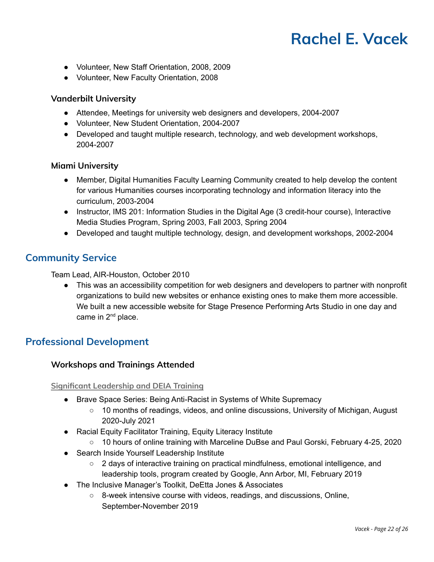- Volunteer, New Staff Orientation, 2008, 2009
- Volunteer, New Faculty Orientation, 2008

### **Vanderbilt University**

- Attendee, Meetings for university web designers and developers, 2004-2007
- Volunteer, New Student Orientation, 2004-2007
- Developed and taught multiple research, technology, and web development workshops, 2004-2007

### **Miami University**

- Member, Digital Humanities Faculty Learning Community created to help develop the content for various Humanities courses incorporating technology and information literacy into the curriculum, 2003-2004
- Instructor, IMS 201: Information Studies in the Digital Age (3 credit-hour course), Interactive Media Studies Program, Spring 2003, Fall 2003, Spring 2004
- Developed and taught multiple technology, design, and development workshops, 2002-2004

# **Community Service**

Team Lead, AIR-Houston, October 2010

● This was an accessibility competition for web designers and developers to partner with nonprofit organizations to build new websites or enhance existing ones to make them more accessible. We built a new accessible website for Stage Presence Performing Arts Studio in one day and came in 2<sup>nd</sup> place.

# **Professional Development**

### **Workshops and Trainings Attended**

**Significant Leadership and DEIA Training**

- Brave Space Series: Being Anti-Racist in Systems of White Supremacy
	- 10 months of readings, videos, and online discussions, University of Michigan, August 2020-July 2021
- Racial Equity Facilitator Training, Equity Literacy Institute
	- 10 hours of online training with Marceline DuBse and Paul Gorski, February 4-25, 2020
- Search Inside Yourself Leadership Institute
	- 2 days of interactive training on practical mindfulness, emotional intelligence, and leadership tools, program created by Google, Ann Arbor, MI, February 2019
- The Inclusive Manager's Toolkit, DeEtta Jones & Associates
	- 8-week intensive course with videos, readings, and discussions, Online, September-November 2019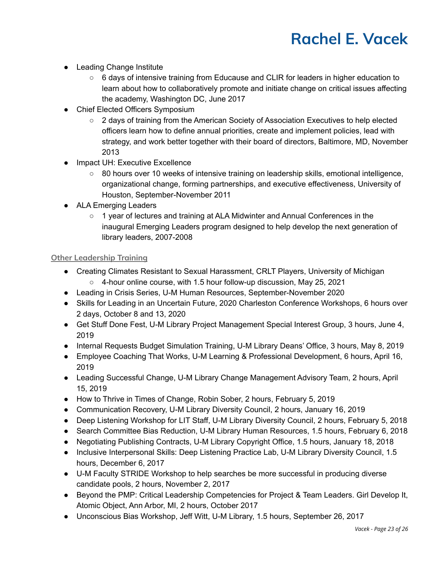- Leading Change Institute
	- 6 days of intensive training from Educause and CLIR for leaders in higher education to learn about how to collaboratively promote and initiate change on critical issues affecting the academy, Washington DC, June 2017
- Chief Elected Officers Symposium
	- 2 days of training from the American Society of Association Executives to help elected officers learn how to define annual priorities, create and implement policies, lead with strategy, and work better together with their board of directors, Baltimore, MD, November 2013
- Impact UH: Executive Excellence
	- 80 hours over 10 weeks of intensive training on leadership skills, emotional intelligence, organizational change, forming partnerships, and executive effectiveness, University of Houston, September-November 2011
- ALA Emerging Leaders
	- 1 year of lectures and training at ALA Midwinter and Annual Conferences in the inaugural Emerging Leaders program designed to help develop the next generation of library leaders, 2007-2008

#### **Other Leadership Training**

- Creating Climates Resistant to Sexual Harassment, CRLT Players, University of Michigan ○ 4-hour online course, with 1.5 hour follow-up discussion, May 25, 2021
- Leading in Crisis Series, U-M Human Resources, September-November 2020
- Skills for Leading in an Uncertain Future, 2020 Charleston Conference Workshops, 6 hours over 2 days, October 8 and 13, 2020
- Get Stuff Done Fest, U-M Library Project Management Special Interest Group, 3 hours, June 4, 2019
- Internal Requests Budget Simulation Training, U-M Library Deans' Office, 3 hours, May 8, 2019
- Employee Coaching That Works, U-M Learning & Professional Development, 6 hours, April 16, 2019
- Leading Successful Change, U-M Library Change Management Advisory Team, 2 hours, April 15, 2019
- How to Thrive in Times of Change, Robin Sober, 2 hours, February 5, 2019
- Communication Recovery, U-M Library Diversity Council, 2 hours, January 16, 2019
- Deep Listening Workshop for LIT Staff, U-M Library Diversity Council, 2 hours, February 5, 2018
- Search Committee Bias Reduction, U-M Library Human Resources, 1.5 hours, February 6, 2018
- Negotiating Publishing Contracts, U-M Library Copyright Office, 1.5 hours, January 18, 2018
- Inclusive Interpersonal Skills: Deep Listening Practice Lab, U-M Library Diversity Council, 1.5 hours, December 6, 2017
- U-M Faculty STRIDE Workshop to help searches be more successful in producing diverse candidate pools, 2 hours, November 2, 2017
- Beyond the PMP: Critical Leadership Competencies for Project & Team Leaders. Girl Develop It, Atomic Object, Ann Arbor, MI, 2 hours, October 2017
- Unconscious Bias Workshop, Jeff Witt, U-M Library, 1.5 hours, September 26, 2017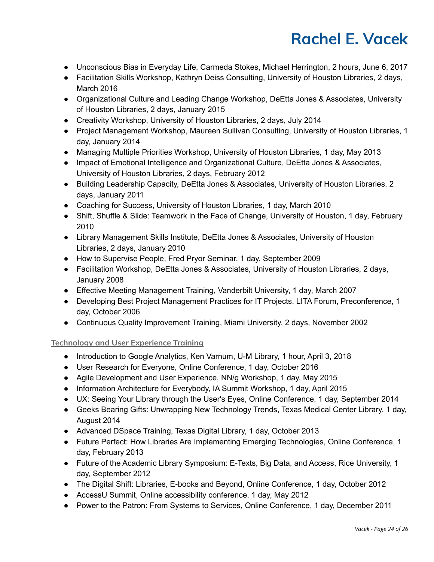- Unconscious Bias in Everyday Life, Carmeda Stokes, Michael Herrington, 2 hours, June 6, 2017
- Facilitation Skills Workshop, Kathryn Deiss Consulting, University of Houston Libraries, 2 days, March 2016
- Organizational Culture and Leading Change Workshop, DeEtta Jones & Associates, University of Houston Libraries, 2 days, January 2015
- Creativity Workshop, University of Houston Libraries, 2 days, July 2014
- Project Management Workshop, Maureen Sullivan Consulting, University of Houston Libraries, 1 day, January 2014
- Managing Multiple Priorities Workshop, University of Houston Libraries, 1 day, May 2013
- Impact of Emotional Intelligence and Organizational Culture, DeEtta Jones & Associates, University of Houston Libraries, 2 days, February 2012
- Building Leadership Capacity, DeEtta Jones & Associates, University of Houston Libraries, 2 days, January 2011
- Coaching for Success, University of Houston Libraries, 1 day, March 2010
- Shift, Shuffle & Slide: Teamwork in the Face of Change, University of Houston, 1 day, February 2010
- Library Management Skills Institute, DeEtta Jones & Associates, University of Houston Libraries, 2 days, January 2010
- How to Supervise People, Fred Pryor Seminar, 1 day, September 2009
- Facilitation Workshop, DeEtta Jones & Associates, University of Houston Libraries, 2 days, January 2008
- Effective Meeting Management Training, Vanderbilt University, 1 day, March 2007
- Developing Best Project Management Practices for IT Projects. LITA Forum, Preconference, 1 day, October 2006
- Continuous Quality Improvement Training, Miami University, 2 days, November 2002

# **Technology and User Experience Training**

- Introduction to Google Analytics, Ken Varnum, U-M Library, 1 hour, April 3, 2018
- User Research for Everyone, Online Conference, 1 day, October 2016
- Agile Development and User Experience, NN/g Workshop, 1 day, May 2015
- Information Architecture for Everybody, IA Summit Workshop, 1 day, April 2015
- UX: Seeing Your Library through the User's Eyes, Online Conference, 1 day, September 2014
- Geeks Bearing Gifts: Unwrapping New Technology Trends, Texas Medical Center Library, 1 day, August 2014
- Advanced DSpace Training, Texas Digital Library, 1 day, October 2013
- Future Perfect: How Libraries Are Implementing Emerging Technologies, Online Conference, 1 day, February 2013
- Future of the Academic Library Symposium: E-Texts, Big Data, and Access, Rice University, 1 day, September 2012
- The Digital Shift: Libraries, E-books and Beyond, Online Conference, 1 day, October 2012
- AccessU Summit, Online accessibility conference, 1 day, May 2012
- Power to the Patron: From Systems to Services, Online Conference, 1 day, December 2011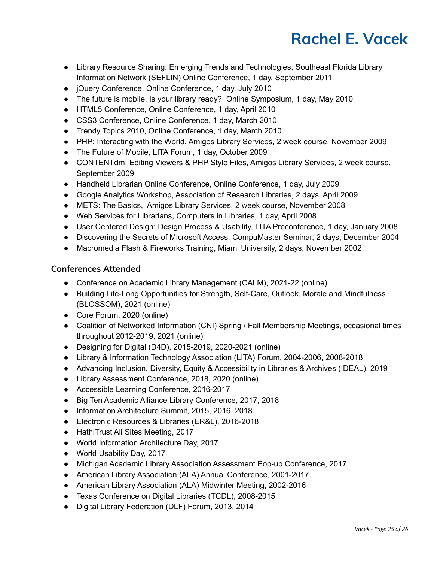- Library Resource Sharing: Emerging Trends and Technologies, Southeast Florida Library Information Network (SEFLIN) Online Conference, 1 day, September 2011
- jQuery Conference, Online Conference, 1 day, July 2010
- The future is mobile. Is your library ready? Online Symposium, 1 day, May 2010
- HTML5 Conference, Online Conference, 1 day, April 2010
- CSS3 Conference, Online Conference, 1 day, March 2010
- Trendy Topics 2010, Online Conference, 1 day, March 2010
- PHP: Interacting with the World, Amigos Library Services, 2 week course, November 2009
- The Future of Mobile, LITA Forum, 1 day, October 2009
- CONTENTdm: Editing Viewers & PHP Style Files, Amigos Library Services, 2 week course, September 2009
- Handheld Librarian Online Conference, Online Conference, 1 day, July 2009
- Google Analytics Workshop, Association of Research Libraries, 2 days, April 2009
- METS: The Basics, Amigos Library Services, 2 week course, November 2008
- Web Services for Librarians, Computers in Libraries, 1 day, April 2008
- User Centered Design: Design Process & Usability, LITA Preconference, 1 day, January 2008
- Discovering the Secrets of Microsoft Access, CompuMaster Seminar, 2 days, December 2004
- Macromedia Flash & Fireworks Training, Miami University, 2 days, November 2002

# **Conferences Attended**

- Conference on Academic Library Management (CALM), 2021-22 (online)
- Building Life-Long Opportunities for Strength, Self-Care, Outlook, Morale and Mindfulness (BLOSSOM), 2021 (online)
- Core Forum, 2020 (online)
- Coalition of Networked Information (CNI) Spring / Fall Membership Meetings, occasional times throughout 2012-2019, 2021 (online)
- Designing for Digital (D4D), 2015-2019, 2020-2021 (online)
- Library & Information Technology Association (LITA) Forum, 2004-2006, 2008-2018
- Advancing Inclusion, Diversity, Equity & Accessibility in Libraries & Archives (IDEAL), 2019
- Library Assessment Conference, 2018, 2020 (online)
- Accessible Learning Conference, 2016-2017
- Big Ten Academic Alliance Library Conference, 2017, 2018
- Information Architecture Summit, 2015, 2016, 2018
- Electronic Resources & Libraries (ER&L), 2016-2018
- HathiTrust All Sites Meeting, 2017
- World Information Architecture Day, 2017
- World Usability Day, 2017
- Michigan Academic Library Association Assessment Pop-up Conference, 2017
- American Library Association (ALA) Annual Conference, 2001-2017
- American Library Association (ALA) Midwinter Meeting, 2002-2016
- Texas Conference on Digital Libraries (TCDL), 2008-2015
- Digital Library Federation (DLF) Forum, 2013, 2014